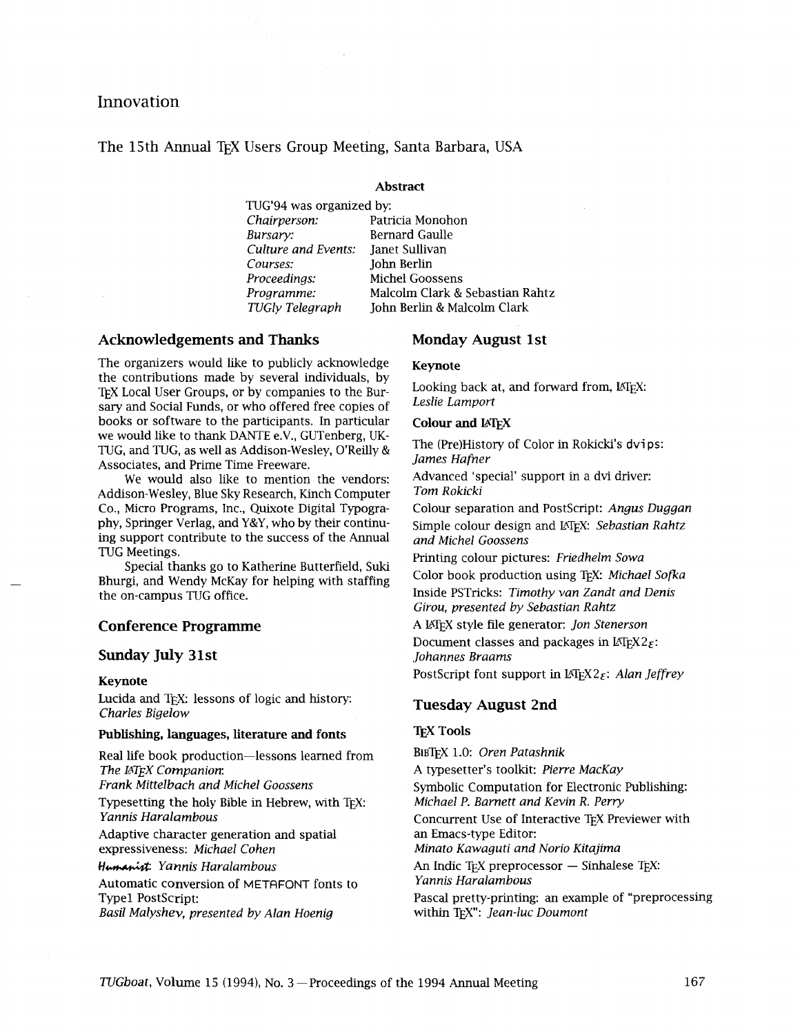## Innovation

The 15th Annual TFX Users Group Meeting, Santa Barbara, USA

#### **Abstract**

TUG'94 was organized by: *Chairperson:* Patricia Monohon *Bursary:* **Bernard Gaulle**<br>*Culture and Events:* **<b>Ianet Sullivan** *Culture and Events:*<br>*Courses: Courses:* John Berlin **Proceedings:** Michel Goossens<br>**Programme:** Malcolm Clark &

*Programme:* Malcolm Clark & Sebastian Rahtz *TUGly Telegraph* John Berlin & Malcolm Clark

## Acknowledgements and Thanks Monday August 1st

The organizers would like to publicly acknowledge the contributions made by several individuals, by TEX Local User Groups, or by companies to the Bursary and Social Funds, or who offered free copies of books or software to the participants. In particular we would like to thank DANTE e.V., GUTenberg, UK-TUG, and TUG, as well as Addison-Wesley, O'Reilly & Associates, and Prime Time Freeware.

We would also like to mention the vendors: Addison-Wesley, Blue Sky Research, Kinch Computer Co., Micro Programs, Inc., Quixote Digital Typography, Springer Verlag, and Y&Y, who by their continuing support contribute to the success of the Annual TUG Meetings.

Special thanks go to Katherine Butterfield, Suki Bhurgi, and Wendy McKay for helping with staffing the on-campus TUG office.

## **Conference Programme**

#### **Sunday July 3 1 st**

#### **Keynote**

Lucida and TFX: lessons of logic and history: *Charles Bigelow* 

# **Publishing, languages, literature and fonts TEX Tools**

Real life book production-lessons learned from **The IATEX Companion:** 

*Frank Mittelbach and Michel Goossens* 

Typesetting the holy Bible in Hebrew, with TEX: *Yannis Haralambous* 

Adaptive character generation and spatial expressiveness: *Michael Cohen* 

**Hd** *Yamis Haralambous* 

Automatic conversion of METAFONT fonts to Type1 Postscript: *Basil Malyshev, presented by Alan Hoenig* 

### **Keynote**

Looking back at, and forward from, IATFX: *Leslie Lamport* 

#### **Colour and UTEX**

The (Pre)History of Color in Rokicki's dvips: *James Hafner* 

Advanced 'special' support in a dvi driver: *Tom Rokicki* 

Colour separation and Postscript: *Angus Duggan*  Simple colour design and EQX: *Sebastian Rahtz and Michel Goossens* 

Printing colour pictures: *Friedhelm Sowa*  Color book production using TEX: *Michael Sofia*  Inside PSTricks: *Timothy van Zandt and Denis Girou, presented by Sebastian Rahtz* 

A LATEX style file generator: *Jon Stenerson*  Document classes and packages in  $\text{LipX2}_{\mathcal{F}}$ : *Johannes Braams* 

PostScript font support in LAT<sub>E</sub>X2<sub>E</sub>: *Alan Jeffrey* 

## **Tuesday August 2nd**

BIBTEX 1.0: *Oren Patashnik*  A typesetter's toolkit: *Pierre MacKay*  Symbolic Computation for Electronic Publishing: *Michael P. Bamett and Kevin R. Perry*  Concurrent Use of Interactive TEX Previewer with an Emacs-type Editor: *Minato Kawaguti and Norio Kitajima*  An Indic T<sub>EX</sub> preprocessor - Sinhalese T<sub>EX</sub>: *Yannis Haralambous*  Pascal pretty-printing: an example of "preprocessing within TEX": *Jean-luc Doumont*